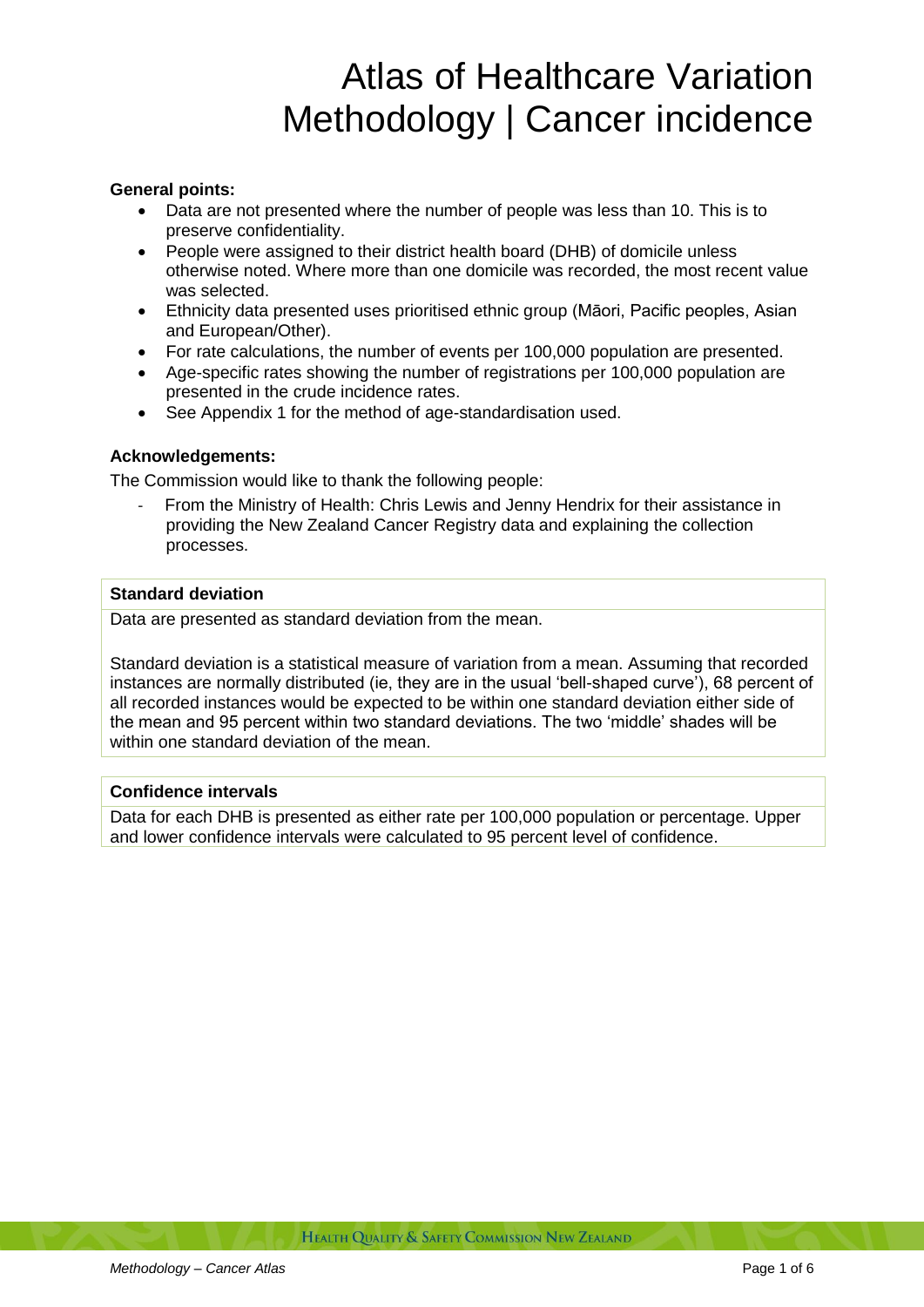# Atlas of Healthcare Variation Methodology | Cancer incidence

# **General points:**

- Data are not presented where the number of people was less than 10. This is to preserve confidentiality.
- People were assigned to their district health board (DHB) of domicile unless otherwise noted. Where more than one domicile was recorded, the most recent value was selected.
- Ethnicity data presented uses prioritised ethnic group (Māori, Pacific peoples, Asian and European/Other).
- For rate calculations, the number of events per 100,000 population are presented.
- Age-specific rates showing the number of registrations per 100,000 population are presented in the crude incidence rates.
- See Appendix 1 for the method of age-standardisation used.

## **Acknowledgements:**

The Commission would like to thank the following people:

- From the Ministry of Health: Chris Lewis and Jenny Hendrix for their assistance in providing the New Zealand Cancer Registry data and explaining the collection processes.

#### **Standard deviation**

Data are presented as standard deviation from the mean.

Standard deviation is a statistical measure of variation from a mean. Assuming that recorded instances are normally distributed (ie, they are in the usual 'bell-shaped curve'), 68 percent of all recorded instances would be expected to be within one standard deviation either side of the mean and 95 percent within two standard deviations. The two 'middle' shades will be within one standard deviation of the mean.

# **Confidence intervals**

Data for each DHB is presented as either rate per 100,000 population or percentage. Upper and lower confidence intervals were calculated to 95 percent level of confidence.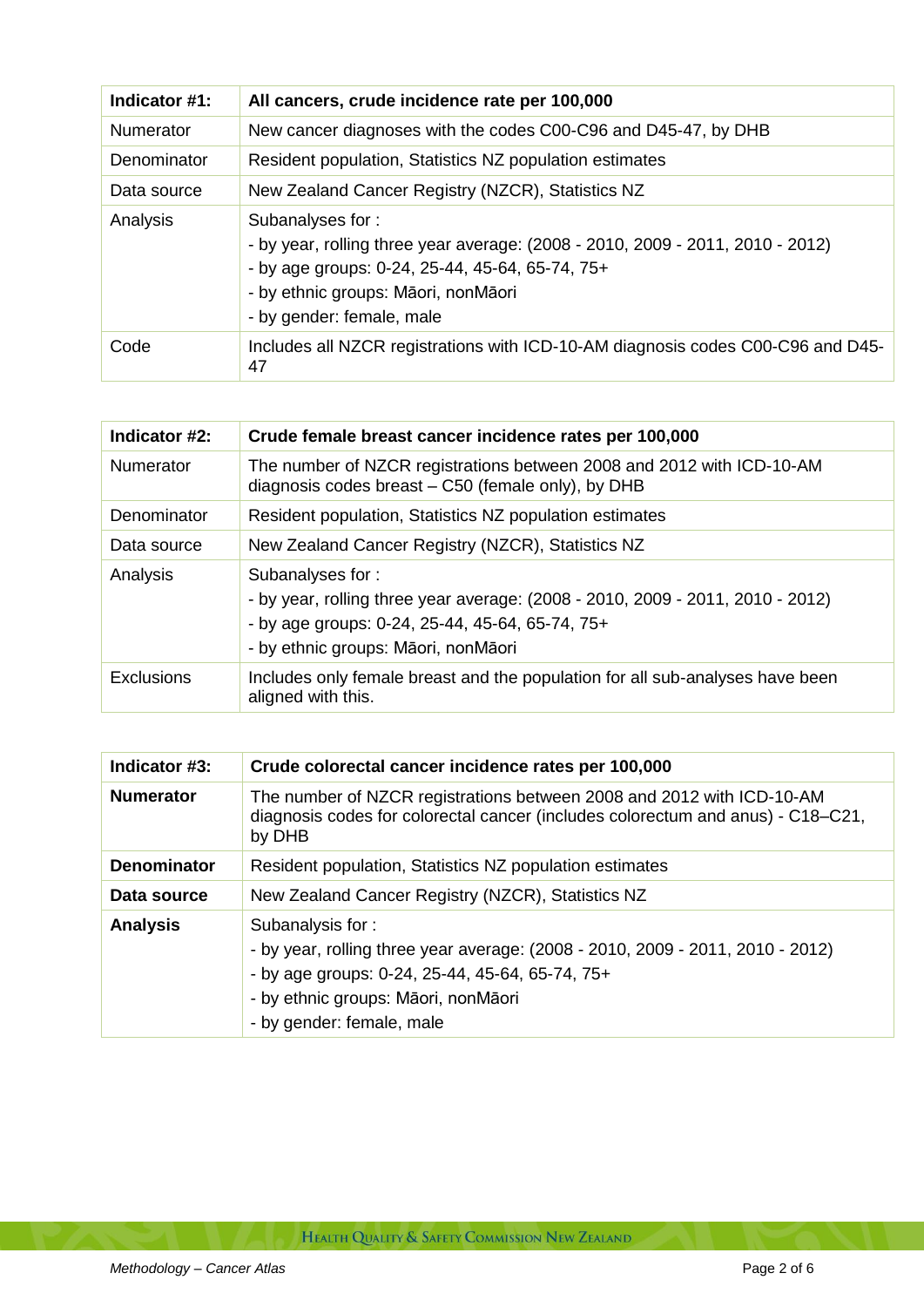| Indicator #1: | All cancers, crude incidence rate per 100,000                                                                                                                                                                             |
|---------------|---------------------------------------------------------------------------------------------------------------------------------------------------------------------------------------------------------------------------|
| Numerator     | New cancer diagnoses with the codes C00-C96 and D45-47, by DHB                                                                                                                                                            |
| Denominator   | Resident population, Statistics NZ population estimates                                                                                                                                                                   |
| Data source   | New Zealand Cancer Registry (NZCR), Statistics NZ                                                                                                                                                                         |
| Analysis      | Subanalyses for:<br>- by year, rolling three year average: (2008 - 2010, 2009 - 2011, 2010 - 2012)<br>- by age groups: 0-24, 25-44, 45-64, 65-74, 75+<br>- by ethnic groups: Māori, nonMāori<br>- by gender: female, male |
| Code          | Includes all NZCR registrations with ICD-10-AM diagnosis codes C00-C96 and D45-<br>47                                                                                                                                     |

| Indicator #2:     | Crude female breast cancer incidence rates per 100,000                                                                                                                                       |
|-------------------|----------------------------------------------------------------------------------------------------------------------------------------------------------------------------------------------|
| <b>Numerator</b>  | The number of NZCR registrations between 2008 and 2012 with ICD-10-AM<br>diagnosis codes breast - C50 (female only), by DHB                                                                  |
| Denominator       | Resident population, Statistics NZ population estimates                                                                                                                                      |
| Data source       | New Zealand Cancer Registry (NZCR), Statistics NZ                                                                                                                                            |
| Analysis          | Subanalyses for:<br>- by year, rolling three year average: (2008 - 2010, 2009 - 2011, 2010 - 2012)<br>- by age groups: 0-24, 25-44, 45-64, 65-74, 75+<br>- by ethnic groups: Māori, nonMāori |
| <b>Exclusions</b> | Includes only female breast and the population for all sub-analyses have been<br>aligned with this.                                                                                          |

| Indicator #3:      | Crude colorectal cancer incidence rates per 100,000                                                                                                                                                                       |
|--------------------|---------------------------------------------------------------------------------------------------------------------------------------------------------------------------------------------------------------------------|
| <b>Numerator</b>   | The number of NZCR registrations between 2008 and 2012 with ICD-10-AM<br>diagnosis codes for colorectal cancer (includes colorectum and anus) - C18–C21,<br>by DHB                                                        |
| <b>Denominator</b> | Resident population, Statistics NZ population estimates                                                                                                                                                                   |
| Data source        | New Zealand Cancer Registry (NZCR), Statistics NZ                                                                                                                                                                         |
| <b>Analysis</b>    | Subanalysis for:<br>- by year, rolling three year average: (2008 - 2010, 2009 - 2011, 2010 - 2012)<br>- by age groups: 0-24, 25-44, 45-64, 65-74, 75+<br>- by ethnic groups: Māori, nonMāori<br>- by gender: female, male |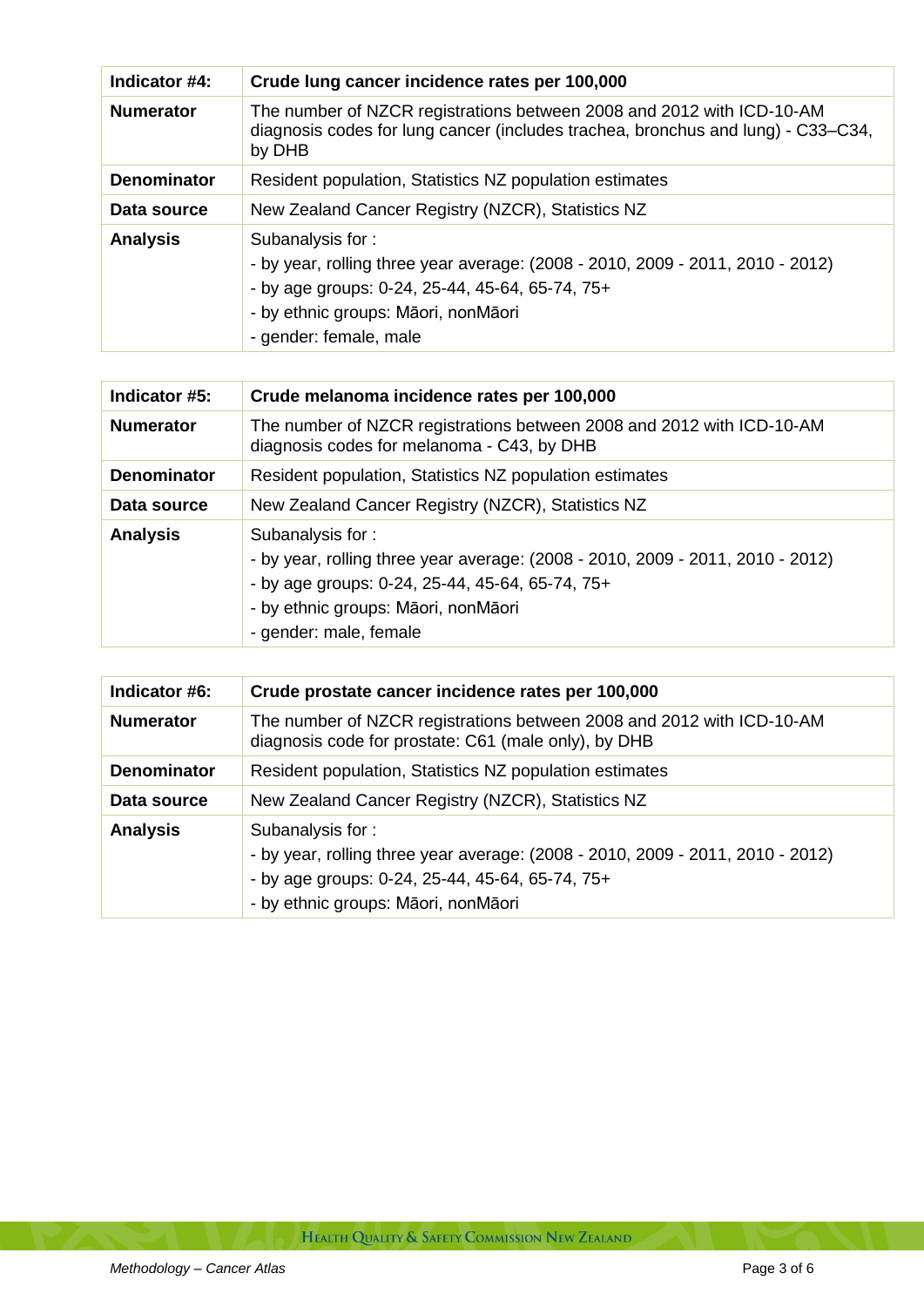| Indicator #4:      | Crude lung cancer incidence rates per 100,000                                                                                                                                                                          |
|--------------------|------------------------------------------------------------------------------------------------------------------------------------------------------------------------------------------------------------------------|
| <b>Numerator</b>   | The number of NZCR registrations between 2008 and 2012 with ICD-10-AM<br>diagnosis codes for lung cancer (includes trachea, bronchus and lung) - C33–C34,<br>by DHB                                                    |
| <b>Denominator</b> | Resident population, Statistics NZ population estimates                                                                                                                                                                |
| Data source        | New Zealand Cancer Registry (NZCR), Statistics NZ                                                                                                                                                                      |
| <b>Analysis</b>    | Subanalysis for:<br>- by year, rolling three year average: (2008 - 2010, 2009 - 2011, 2010 - 2012)<br>- by age groups: 0-24, 25-44, 45-64, 65-74, 75+<br>- by ethnic groups: Māori, nonMāori<br>- gender: female, male |

| Indicator #5:      | Crude melanoma incidence rates per 100,000                                                                                                                                                                             |
|--------------------|------------------------------------------------------------------------------------------------------------------------------------------------------------------------------------------------------------------------|
| <b>Numerator</b>   | The number of NZCR registrations between 2008 and 2012 with ICD-10-AM<br>diagnosis codes for melanoma - C43, by DHB                                                                                                    |
| <b>Denominator</b> | Resident population, Statistics NZ population estimates                                                                                                                                                                |
| Data source        | New Zealand Cancer Registry (NZCR), Statistics NZ                                                                                                                                                                      |
| <b>Analysis</b>    | Subanalysis for:<br>- by year, rolling three year average: (2008 - 2010, 2009 - 2011, 2010 - 2012)<br>- by age groups: 0-24, 25-44, 45-64, 65-74, 75+<br>- by ethnic groups: Māori, nonMāori<br>- gender: male, female |

| Indicator #6:      | Crude prostate cancer incidence rates per 100,000                                                                                                                                            |
|--------------------|----------------------------------------------------------------------------------------------------------------------------------------------------------------------------------------------|
| <b>Numerator</b>   | The number of NZCR registrations between 2008 and 2012 with ICD-10-AM<br>diagnosis code for prostate: C61 (male only), by DHB                                                                |
| <b>Denominator</b> | Resident population, Statistics NZ population estimates                                                                                                                                      |
| Data source        | New Zealand Cancer Registry (NZCR), Statistics NZ                                                                                                                                            |
| <b>Analysis</b>    | Subanalysis for:<br>- by year, rolling three year average: (2008 - 2010, 2009 - 2011, 2010 - 2012)<br>- by age groups: 0-24, 25-44, 45-64, 65-74, 75+<br>- by ethnic groups: Māori, nonMāori |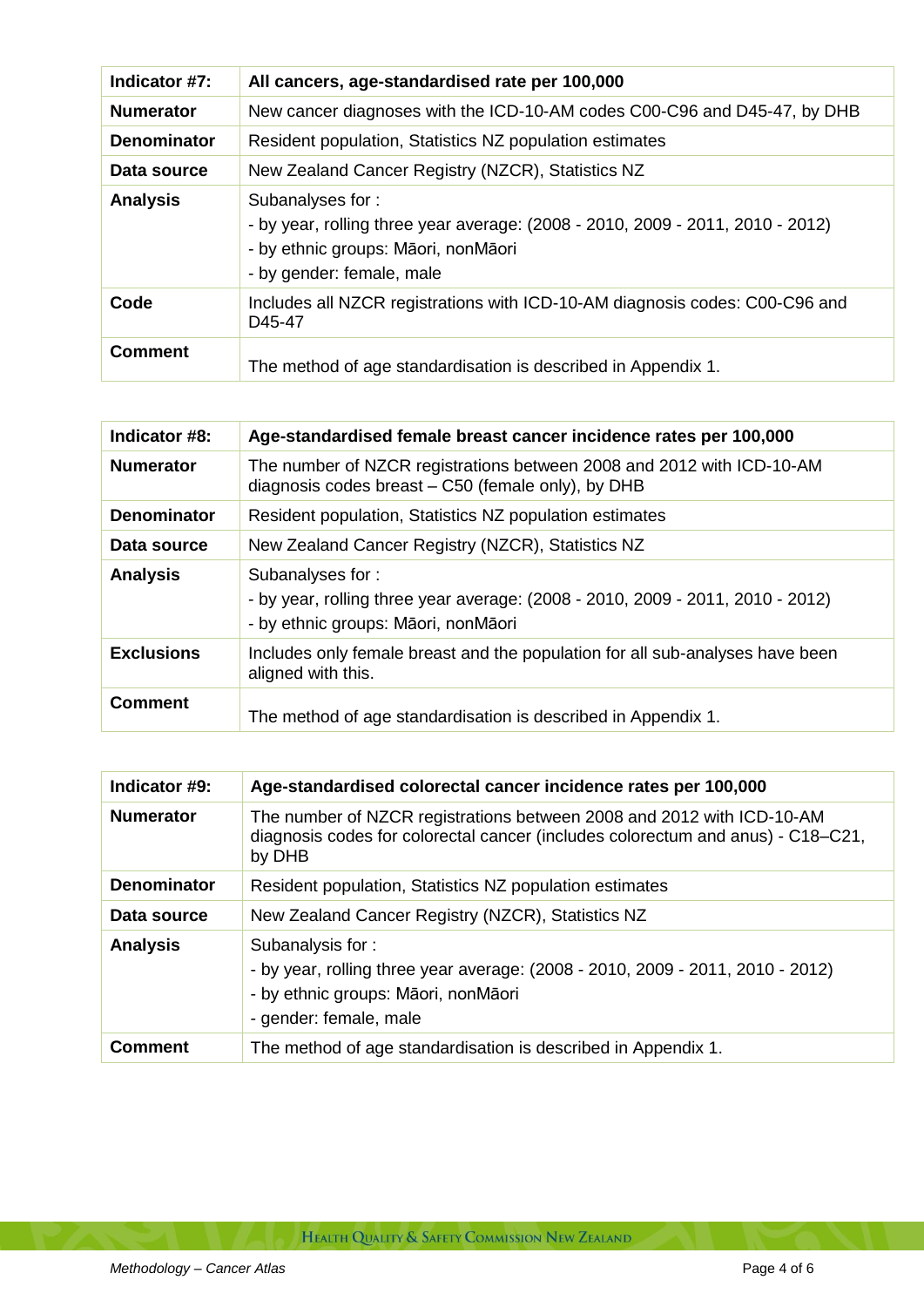| Indicator #7:      | All cancers, age-standardised rate per 100,000                                                                                                                         |
|--------------------|------------------------------------------------------------------------------------------------------------------------------------------------------------------------|
| <b>Numerator</b>   | New cancer diagnoses with the ICD-10-AM codes C00-C96 and D45-47, by DHB                                                                                               |
| <b>Denominator</b> | Resident population, Statistics NZ population estimates                                                                                                                |
| Data source        | New Zealand Cancer Registry (NZCR), Statistics NZ                                                                                                                      |
| <b>Analysis</b>    | Subanalyses for:<br>- by year, rolling three year average: (2008 - 2010, 2009 - 2011, 2010 - 2012)<br>- by ethnic groups: Māori, nonMāori<br>- by gender: female, male |
| Code               | Includes all NZCR registrations with ICD-10-AM diagnosis codes: C00-C96 and<br>D <sub>45</sub> -47                                                                     |
| <b>Comment</b>     | The method of age standardisation is described in Appendix 1.                                                                                                          |

| Indicator #8:      | Age-standardised female breast cancer incidence rates per 100,000                                                                         |
|--------------------|-------------------------------------------------------------------------------------------------------------------------------------------|
| <b>Numerator</b>   | The number of NZCR registrations between 2008 and 2012 with ICD-10-AM<br>diagnosis codes breast – C50 (female only), by DHB               |
| <b>Denominator</b> | Resident population, Statistics NZ population estimates                                                                                   |
| Data source        | New Zealand Cancer Registry (NZCR), Statistics NZ                                                                                         |
| <b>Analysis</b>    | Subanalyses for:<br>- by year, rolling three year average: (2008 - 2010, 2009 - 2011, 2010 - 2012)<br>- by ethnic groups: Māori, nonMāori |
| <b>Exclusions</b>  | Includes only female breast and the population for all sub-analyses have been<br>aligned with this.                                       |
| <b>Comment</b>     | The method of age standardisation is described in Appendix 1.                                                                             |

| Indicator #9:      | Age-standardised colorectal cancer incidence rates per 100,000                                                                                                      |
|--------------------|---------------------------------------------------------------------------------------------------------------------------------------------------------------------|
| <b>Numerator</b>   | The number of NZCR registrations between 2008 and 2012 with ICD-10-AM<br>diagnosis codes for colorectal cancer (includes colorectum and anus) - C18–C21,<br>by DHB  |
| <b>Denominator</b> | Resident population, Statistics NZ population estimates                                                                                                             |
| Data source        | New Zealand Cancer Registry (NZCR), Statistics NZ                                                                                                                   |
| <b>Analysis</b>    | Subanalysis for:<br>- by year, rolling three year average: (2008 - 2010, 2009 - 2011, 2010 - 2012)<br>- by ethnic groups: Māori, nonMāori<br>- gender: female, male |
| <b>Comment</b>     | The method of age standardisation is described in Appendix 1.                                                                                                       |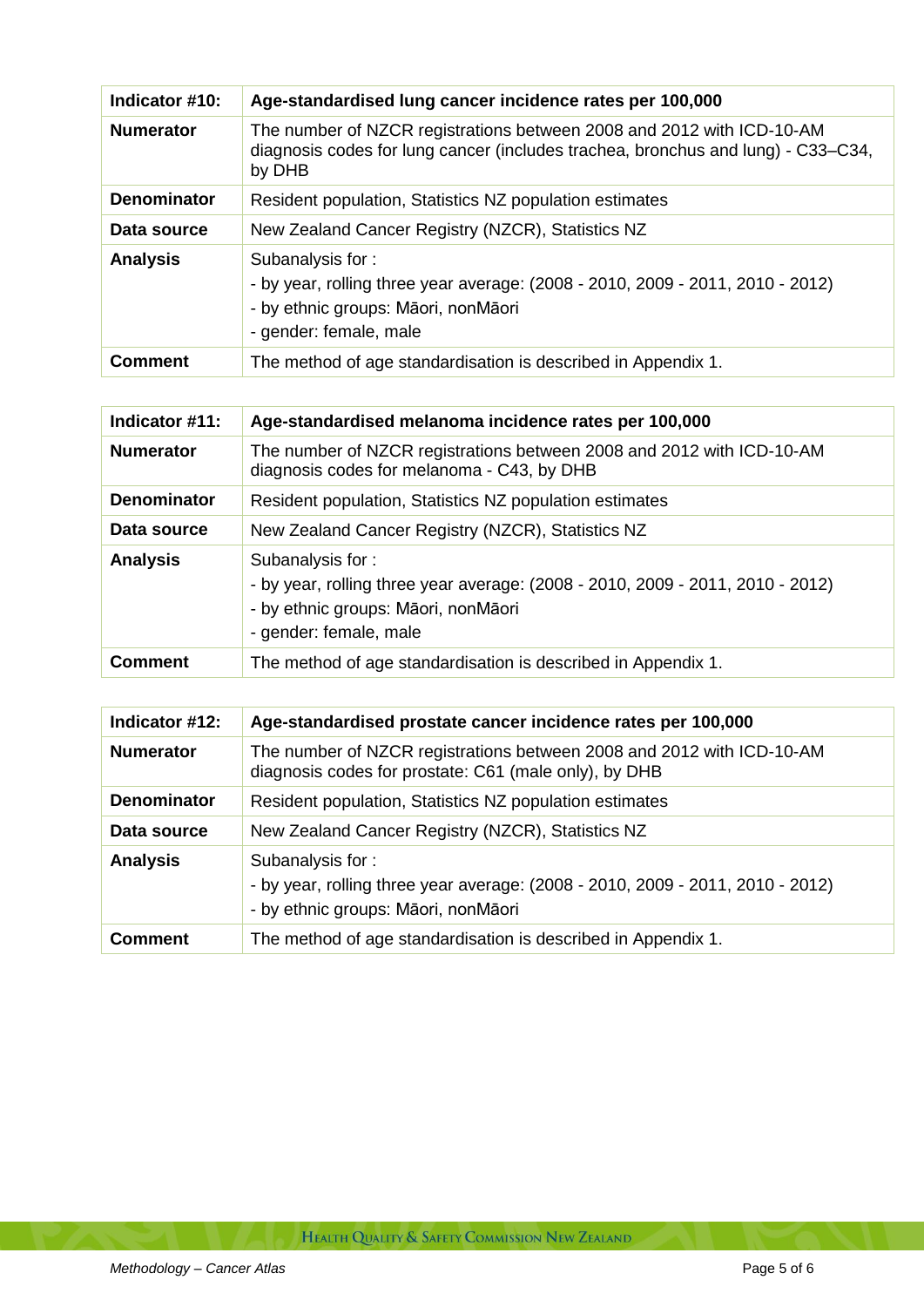| Indicator #10:     | Age-standardised lung cancer incidence rates per 100,000                                                                                                            |
|--------------------|---------------------------------------------------------------------------------------------------------------------------------------------------------------------|
| <b>Numerator</b>   | The number of NZCR registrations between 2008 and 2012 with ICD-10-AM<br>diagnosis codes for lung cancer (includes trachea, bronchus and lung) - C33–C34,<br>by DHB |
| <b>Denominator</b> | Resident population, Statistics NZ population estimates                                                                                                             |
| Data source        | New Zealand Cancer Registry (NZCR), Statistics NZ                                                                                                                   |
| <b>Analysis</b>    | Subanalysis for:<br>- by year, rolling three year average: (2008 - 2010, 2009 - 2011, 2010 - 2012)<br>- by ethnic groups: Māori, nonMāori<br>- gender: female, male |
| <b>Comment</b>     | The method of age standardisation is described in Appendix 1.                                                                                                       |

| Indicator #11:     | Age-standardised melanoma incidence rates per 100,000                                                                                                               |
|--------------------|---------------------------------------------------------------------------------------------------------------------------------------------------------------------|
| <b>Numerator</b>   | The number of NZCR registrations between 2008 and 2012 with ICD-10-AM<br>diagnosis codes for melanoma - C43, by DHB                                                 |
| <b>Denominator</b> | Resident population, Statistics NZ population estimates                                                                                                             |
| Data source        | New Zealand Cancer Registry (NZCR), Statistics NZ                                                                                                                   |
| <b>Analysis</b>    | Subanalysis for:<br>- by year, rolling three year average: (2008 - 2010, 2009 - 2011, 2010 - 2012)<br>- by ethnic groups: Māori, nonMāori<br>- gender: female, male |
| <b>Comment</b>     | The method of age standardisation is described in Appendix 1.                                                                                                       |

| Indicator #12:     | Age-standardised prostate cancer incidence rates per 100,000                                                                              |
|--------------------|-------------------------------------------------------------------------------------------------------------------------------------------|
| <b>Numerator</b>   | The number of NZCR registrations between 2008 and 2012 with ICD-10-AM<br>diagnosis codes for prostate: C61 (male only), by DHB            |
| <b>Denominator</b> | Resident population, Statistics NZ population estimates                                                                                   |
| Data source        | New Zealand Cancer Registry (NZCR), Statistics NZ                                                                                         |
| <b>Analysis</b>    | Subanalysis for:<br>- by year, rolling three year average: (2008 - 2010, 2009 - 2011, 2010 - 2012)<br>- by ethnic groups: Māori, nonMāori |
| <b>Comment</b>     | The method of age standardisation is described in Appendix 1.                                                                             |